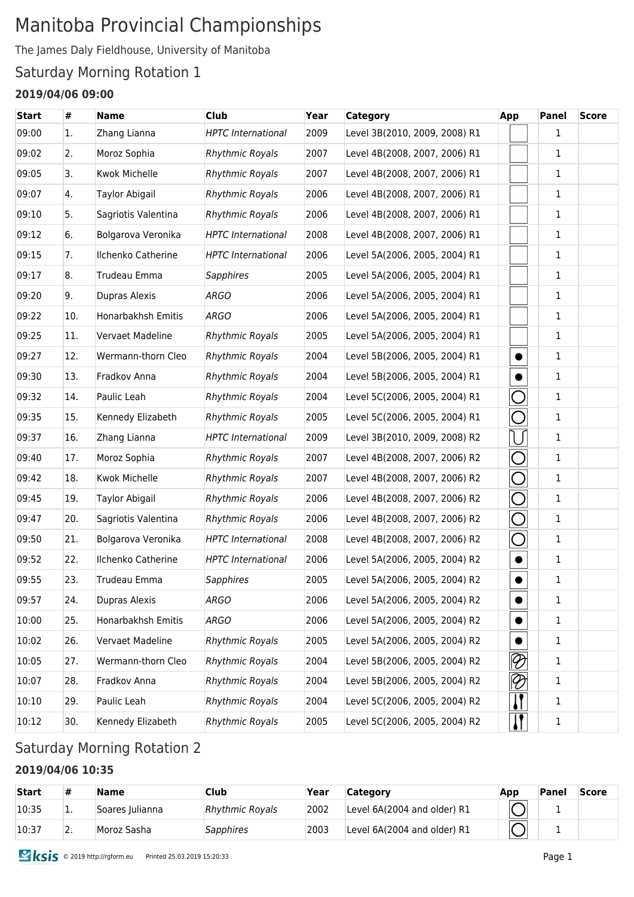# Manitoba Provincial Championships

The James Daly Fieldhouse, University of Manitoba

### Saturday Morning Rotation 1

### **2019/04/06 09:00**

| 09:00<br>Zhang Lianna<br><b>HPTC</b> International<br>2009<br>Level 3B(2010, 2009, 2008) R1<br>1<br>1.<br>2007<br>$\mathbf{1}$<br>09:02<br>2.<br>Moroz Sophia<br><b>Rhythmic Royals</b><br>Level 4B(2008, 2007, 2006) R1<br>09:05<br><b>Kwok Michelle</b><br><b>Rhythmic Royals</b><br>2007<br>Level 4B(2008, 2007, 2006) R1<br>1<br>3.<br>$\mathbf{1}$<br>09:07<br>Taylor Abigail<br><b>Rhythmic Royals</b><br>2006<br>Level 4B(2008, 2007, 2006) R1<br>4.<br>09:10<br>Sagriotis Valentina<br>2006<br>Level 4B(2008, 2007, 2006) R1<br>$\mathbf{1}$<br>5.<br><b>Rhythmic Royals</b><br>$\mathbf{1}$<br>09:12<br>Bolgarova Veronika<br><b>HPTC</b> International<br>2008<br>Level 4B(2008, 2007, 2006) R1<br>6.<br>09:15<br>Ilchenko Catherine<br>2006<br>7.<br><b>HPTC</b> International<br>Level 5A(2006, 2005, 2004) R1<br>1<br>09:17<br>Trudeau Emma<br><b>Sapphires</b><br>2005<br>Level 5A(2006, 2005, 2004) R1<br>1<br>8.<br>1<br>09:20<br>9.<br>Dupras Alexis<br><b>ARGO</b><br>2006<br>Level 5A(2006, 2005, 2004) R1<br>09:22<br>Honarbakhsh Emitis<br><b>ARGO</b><br>2006<br>Level 5A(2006, 2005, 2004) R1<br>1<br>10.<br>Vervaet Madeline<br>$\mathbf{1}$<br>09:25<br><b>Rhythmic Royals</b><br>2005<br>Level 5A(2006, 2005, 2004) R1<br>11.<br>09:27<br>1<br>12.<br>Wermann-thorn Cleo<br><b>Rhythmic Royals</b><br>2004<br>Level 5B(2006, 2005, 2004) R1<br>$\bullet$<br>09:30<br>Fradkov Anna<br>2004<br>Level 5B(2006, 2005, 2004) R1<br>1<br>13.<br><b>Rhythmic Royals</b><br>Paulic Leah<br>2004<br>$\mathbf{1}$<br>09:32<br>14.<br><b>Rhythmic Royals</b><br>Level 5C(2006, 2005, 2004) R1<br>◯<br>09:35<br>Kennedy Elizabeth<br>2005<br>$\mathbf{1}$<br>15.<br><b>Rhythmic Royals</b><br>Level 5C(2006, 2005, 2004) R1<br>09:37<br>Zhang Lianna<br>2009<br>Level 3B(2010, 2009, 2008) R2<br>1<br>16.<br><b>HPTC</b> International<br>⌒<br>2007<br>1<br>09:40<br>17.<br>Moroz Sophia<br><b>Rhythmic Royals</b><br>Level 4B(2008, 2007, 2006) R2<br>⌒<br>Kwok Michelle<br>1<br>09:42<br><b>Rhythmic Royals</b><br>2007<br>Level 4B(2008, 2007, 2006) R2<br>18.<br>◯<br>2006<br>1<br>09:45<br>Taylor Abigail<br><b>Rhythmic Royals</b><br>Level 4B(2008, 2007, 2006) R2<br>19.<br>$\bigcirc$<br>09:47<br>Sagriotis Valentina<br><b>Rhythmic Royals</b><br>2006<br>Level 4B(2008, 2007, 2006) R2<br>$\mathbf{1}$<br>20.<br>O<br>1<br>09:50<br>Bolgarova Veronika<br><b>HPTC</b> International<br>2008<br>Level 4B(2008, 2007, 2006) R2<br>21.<br>Ilchenko Catherine<br>$\mathbf{1}$<br>09:52<br>22.<br><b>HPTC</b> International<br>2006<br>Level 5A(2006, 2005, 2004) R2<br>$\bullet$<br>$\mathbf{1}$<br>09:55<br>2005<br>23.<br>Trudeau Emma<br><b>Sapphires</b><br>Level 5A(2006, 2005, 2004) R2<br>$\bullet$<br>09:57<br>Dupras Alexis<br><b>ARGO</b><br>2006<br>Level 5A(2006, 2005, 2004) R2<br>24.<br>1<br>$\bullet$<br>10:00<br>Honarbakhsh Emitis<br><b>ARGO</b><br>2006<br>1<br>25.<br>Level 5A(2006, 2005, 2004) R2<br>$\bullet$<br>10:02<br>Vervaet Madeline<br><b>Rhythmic Royals</b><br>2005<br>Level 5A(2006, 2005, 2004) R2<br>1<br>26.<br>$\bullet$<br>$\otimes$<br>Wermann-thorn Cleo<br><b>Rhythmic Royals</b><br>Level 5B(2006, 2005, 2004) R2<br>10:05<br>27.<br>2004<br>1<br>$\lvert\mathcal{D}\rvert$<br>10:07<br>Fradkov Anna<br><b>Rhythmic Royals</b><br>2004<br>Level 5B(2006, 2005, 2004) R2<br>28.<br>1<br>$\boldsymbol{\mathsf{I}}$<br>10:10<br>Paulic Leah<br><b>Rhythmic Royals</b><br>2004<br>Level 5C(2006, 2005, 2004) R2<br>29.<br>1<br><u> }</u><br>2005<br>10:12<br>Kennedy Elizabeth<br><b>Rhythmic Royals</b><br>Level 5C(2006, 2005, 2004) R2<br>30.<br>$\mathbf{1}$ | Start | # | <b>Name</b> | <b>Club</b> | Year | <b>Category</b> | App | Panel | <b>Score</b> |
|------------------------------------------------------------------------------------------------------------------------------------------------------------------------------------------------------------------------------------------------------------------------------------------------------------------------------------------------------------------------------------------------------------------------------------------------------------------------------------------------------------------------------------------------------------------------------------------------------------------------------------------------------------------------------------------------------------------------------------------------------------------------------------------------------------------------------------------------------------------------------------------------------------------------------------------------------------------------------------------------------------------------------------------------------------------------------------------------------------------------------------------------------------------------------------------------------------------------------------------------------------------------------------------------------------------------------------------------------------------------------------------------------------------------------------------------------------------------------------------------------------------------------------------------------------------------------------------------------------------------------------------------------------------------------------------------------------------------------------------------------------------------------------------------------------------------------------------------------------------------------------------------------------------------------------------------------------------------------------------------------------------------------------------------------------------------------------------------------------------------------------------------------------------------------------------------------------------------------------------------------------------------------------------------------------------------------------------------------------------------------------------------------------------------------------------------------------------------------------------------------------------------------------------------------------------------------------------------------------------------------------------------------------------------------------------------------------------------------------------------------------------------------------------------------------------------------------------------------------------------------------------------------------------------------------------------------------------------------------------------------------------------------------------------------------------------------------------------------------------------------------------------------------------------------------------------------------------------------------------------------------------------------------------------------------------------------------------------------------------------------------------------------------------------------------------------------------------------------------------------------------------------------------------------------------------------------------------------------------------------------|-------|---|-------------|-------------|------|-----------------|-----|-------|--------------|
|                                                                                                                                                                                                                                                                                                                                                                                                                                                                                                                                                                                                                                                                                                                                                                                                                                                                                                                                                                                                                                                                                                                                                                                                                                                                                                                                                                                                                                                                                                                                                                                                                                                                                                                                                                                                                                                                                                                                                                                                                                                                                                                                                                                                                                                                                                                                                                                                                                                                                                                                                                                                                                                                                                                                                                                                                                                                                                                                                                                                                                                                                                                                                                                                                                                                                                                                                                                                                                                                                                                                                                                                                              |       |   |             |             |      |                 |     |       |              |
|                                                                                                                                                                                                                                                                                                                                                                                                                                                                                                                                                                                                                                                                                                                                                                                                                                                                                                                                                                                                                                                                                                                                                                                                                                                                                                                                                                                                                                                                                                                                                                                                                                                                                                                                                                                                                                                                                                                                                                                                                                                                                                                                                                                                                                                                                                                                                                                                                                                                                                                                                                                                                                                                                                                                                                                                                                                                                                                                                                                                                                                                                                                                                                                                                                                                                                                                                                                                                                                                                                                                                                                                                              |       |   |             |             |      |                 |     |       |              |
|                                                                                                                                                                                                                                                                                                                                                                                                                                                                                                                                                                                                                                                                                                                                                                                                                                                                                                                                                                                                                                                                                                                                                                                                                                                                                                                                                                                                                                                                                                                                                                                                                                                                                                                                                                                                                                                                                                                                                                                                                                                                                                                                                                                                                                                                                                                                                                                                                                                                                                                                                                                                                                                                                                                                                                                                                                                                                                                                                                                                                                                                                                                                                                                                                                                                                                                                                                                                                                                                                                                                                                                                                              |       |   |             |             |      |                 |     |       |              |
|                                                                                                                                                                                                                                                                                                                                                                                                                                                                                                                                                                                                                                                                                                                                                                                                                                                                                                                                                                                                                                                                                                                                                                                                                                                                                                                                                                                                                                                                                                                                                                                                                                                                                                                                                                                                                                                                                                                                                                                                                                                                                                                                                                                                                                                                                                                                                                                                                                                                                                                                                                                                                                                                                                                                                                                                                                                                                                                                                                                                                                                                                                                                                                                                                                                                                                                                                                                                                                                                                                                                                                                                                              |       |   |             |             |      |                 |     |       |              |
|                                                                                                                                                                                                                                                                                                                                                                                                                                                                                                                                                                                                                                                                                                                                                                                                                                                                                                                                                                                                                                                                                                                                                                                                                                                                                                                                                                                                                                                                                                                                                                                                                                                                                                                                                                                                                                                                                                                                                                                                                                                                                                                                                                                                                                                                                                                                                                                                                                                                                                                                                                                                                                                                                                                                                                                                                                                                                                                                                                                                                                                                                                                                                                                                                                                                                                                                                                                                                                                                                                                                                                                                                              |       |   |             |             |      |                 |     |       |              |
|                                                                                                                                                                                                                                                                                                                                                                                                                                                                                                                                                                                                                                                                                                                                                                                                                                                                                                                                                                                                                                                                                                                                                                                                                                                                                                                                                                                                                                                                                                                                                                                                                                                                                                                                                                                                                                                                                                                                                                                                                                                                                                                                                                                                                                                                                                                                                                                                                                                                                                                                                                                                                                                                                                                                                                                                                                                                                                                                                                                                                                                                                                                                                                                                                                                                                                                                                                                                                                                                                                                                                                                                                              |       |   |             |             |      |                 |     |       |              |
|                                                                                                                                                                                                                                                                                                                                                                                                                                                                                                                                                                                                                                                                                                                                                                                                                                                                                                                                                                                                                                                                                                                                                                                                                                                                                                                                                                                                                                                                                                                                                                                                                                                                                                                                                                                                                                                                                                                                                                                                                                                                                                                                                                                                                                                                                                                                                                                                                                                                                                                                                                                                                                                                                                                                                                                                                                                                                                                                                                                                                                                                                                                                                                                                                                                                                                                                                                                                                                                                                                                                                                                                                              |       |   |             |             |      |                 |     |       |              |
|                                                                                                                                                                                                                                                                                                                                                                                                                                                                                                                                                                                                                                                                                                                                                                                                                                                                                                                                                                                                                                                                                                                                                                                                                                                                                                                                                                                                                                                                                                                                                                                                                                                                                                                                                                                                                                                                                                                                                                                                                                                                                                                                                                                                                                                                                                                                                                                                                                                                                                                                                                                                                                                                                                                                                                                                                                                                                                                                                                                                                                                                                                                                                                                                                                                                                                                                                                                                                                                                                                                                                                                                                              |       |   |             |             |      |                 |     |       |              |
|                                                                                                                                                                                                                                                                                                                                                                                                                                                                                                                                                                                                                                                                                                                                                                                                                                                                                                                                                                                                                                                                                                                                                                                                                                                                                                                                                                                                                                                                                                                                                                                                                                                                                                                                                                                                                                                                                                                                                                                                                                                                                                                                                                                                                                                                                                                                                                                                                                                                                                                                                                                                                                                                                                                                                                                                                                                                                                                                                                                                                                                                                                                                                                                                                                                                                                                                                                                                                                                                                                                                                                                                                              |       |   |             |             |      |                 |     |       |              |
|                                                                                                                                                                                                                                                                                                                                                                                                                                                                                                                                                                                                                                                                                                                                                                                                                                                                                                                                                                                                                                                                                                                                                                                                                                                                                                                                                                                                                                                                                                                                                                                                                                                                                                                                                                                                                                                                                                                                                                                                                                                                                                                                                                                                                                                                                                                                                                                                                                                                                                                                                                                                                                                                                                                                                                                                                                                                                                                                                                                                                                                                                                                                                                                                                                                                                                                                                                                                                                                                                                                                                                                                                              |       |   |             |             |      |                 |     |       |              |
|                                                                                                                                                                                                                                                                                                                                                                                                                                                                                                                                                                                                                                                                                                                                                                                                                                                                                                                                                                                                                                                                                                                                                                                                                                                                                                                                                                                                                                                                                                                                                                                                                                                                                                                                                                                                                                                                                                                                                                                                                                                                                                                                                                                                                                                                                                                                                                                                                                                                                                                                                                                                                                                                                                                                                                                                                                                                                                                                                                                                                                                                                                                                                                                                                                                                                                                                                                                                                                                                                                                                                                                                                              |       |   |             |             |      |                 |     |       |              |
|                                                                                                                                                                                                                                                                                                                                                                                                                                                                                                                                                                                                                                                                                                                                                                                                                                                                                                                                                                                                                                                                                                                                                                                                                                                                                                                                                                                                                                                                                                                                                                                                                                                                                                                                                                                                                                                                                                                                                                                                                                                                                                                                                                                                                                                                                                                                                                                                                                                                                                                                                                                                                                                                                                                                                                                                                                                                                                                                                                                                                                                                                                                                                                                                                                                                                                                                                                                                                                                                                                                                                                                                                              |       |   |             |             |      |                 |     |       |              |
|                                                                                                                                                                                                                                                                                                                                                                                                                                                                                                                                                                                                                                                                                                                                                                                                                                                                                                                                                                                                                                                                                                                                                                                                                                                                                                                                                                                                                                                                                                                                                                                                                                                                                                                                                                                                                                                                                                                                                                                                                                                                                                                                                                                                                                                                                                                                                                                                                                                                                                                                                                                                                                                                                                                                                                                                                                                                                                                                                                                                                                                                                                                                                                                                                                                                                                                                                                                                                                                                                                                                                                                                                              |       |   |             |             |      |                 |     |       |              |
|                                                                                                                                                                                                                                                                                                                                                                                                                                                                                                                                                                                                                                                                                                                                                                                                                                                                                                                                                                                                                                                                                                                                                                                                                                                                                                                                                                                                                                                                                                                                                                                                                                                                                                                                                                                                                                                                                                                                                                                                                                                                                                                                                                                                                                                                                                                                                                                                                                                                                                                                                                                                                                                                                                                                                                                                                                                                                                                                                                                                                                                                                                                                                                                                                                                                                                                                                                                                                                                                                                                                                                                                                              |       |   |             |             |      |                 |     |       |              |
|                                                                                                                                                                                                                                                                                                                                                                                                                                                                                                                                                                                                                                                                                                                                                                                                                                                                                                                                                                                                                                                                                                                                                                                                                                                                                                                                                                                                                                                                                                                                                                                                                                                                                                                                                                                                                                                                                                                                                                                                                                                                                                                                                                                                                                                                                                                                                                                                                                                                                                                                                                                                                                                                                                                                                                                                                                                                                                                                                                                                                                                                                                                                                                                                                                                                                                                                                                                                                                                                                                                                                                                                                              |       |   |             |             |      |                 |     |       |              |
|                                                                                                                                                                                                                                                                                                                                                                                                                                                                                                                                                                                                                                                                                                                                                                                                                                                                                                                                                                                                                                                                                                                                                                                                                                                                                                                                                                                                                                                                                                                                                                                                                                                                                                                                                                                                                                                                                                                                                                                                                                                                                                                                                                                                                                                                                                                                                                                                                                                                                                                                                                                                                                                                                                                                                                                                                                                                                                                                                                                                                                                                                                                                                                                                                                                                                                                                                                                                                                                                                                                                                                                                                              |       |   |             |             |      |                 |     |       |              |
|                                                                                                                                                                                                                                                                                                                                                                                                                                                                                                                                                                                                                                                                                                                                                                                                                                                                                                                                                                                                                                                                                                                                                                                                                                                                                                                                                                                                                                                                                                                                                                                                                                                                                                                                                                                                                                                                                                                                                                                                                                                                                                                                                                                                                                                                                                                                                                                                                                                                                                                                                                                                                                                                                                                                                                                                                                                                                                                                                                                                                                                                                                                                                                                                                                                                                                                                                                                                                                                                                                                                                                                                                              |       |   |             |             |      |                 |     |       |              |
|                                                                                                                                                                                                                                                                                                                                                                                                                                                                                                                                                                                                                                                                                                                                                                                                                                                                                                                                                                                                                                                                                                                                                                                                                                                                                                                                                                                                                                                                                                                                                                                                                                                                                                                                                                                                                                                                                                                                                                                                                                                                                                                                                                                                                                                                                                                                                                                                                                                                                                                                                                                                                                                                                                                                                                                                                                                                                                                                                                                                                                                                                                                                                                                                                                                                                                                                                                                                                                                                                                                                                                                                                              |       |   |             |             |      |                 |     |       |              |
|                                                                                                                                                                                                                                                                                                                                                                                                                                                                                                                                                                                                                                                                                                                                                                                                                                                                                                                                                                                                                                                                                                                                                                                                                                                                                                                                                                                                                                                                                                                                                                                                                                                                                                                                                                                                                                                                                                                                                                                                                                                                                                                                                                                                                                                                                                                                                                                                                                                                                                                                                                                                                                                                                                                                                                                                                                                                                                                                                                                                                                                                                                                                                                                                                                                                                                                                                                                                                                                                                                                                                                                                                              |       |   |             |             |      |                 |     |       |              |
|                                                                                                                                                                                                                                                                                                                                                                                                                                                                                                                                                                                                                                                                                                                                                                                                                                                                                                                                                                                                                                                                                                                                                                                                                                                                                                                                                                                                                                                                                                                                                                                                                                                                                                                                                                                                                                                                                                                                                                                                                                                                                                                                                                                                                                                                                                                                                                                                                                                                                                                                                                                                                                                                                                                                                                                                                                                                                                                                                                                                                                                                                                                                                                                                                                                                                                                                                                                                                                                                                                                                                                                                                              |       |   |             |             |      |                 |     |       |              |
|                                                                                                                                                                                                                                                                                                                                                                                                                                                                                                                                                                                                                                                                                                                                                                                                                                                                                                                                                                                                                                                                                                                                                                                                                                                                                                                                                                                                                                                                                                                                                                                                                                                                                                                                                                                                                                                                                                                                                                                                                                                                                                                                                                                                                                                                                                                                                                                                                                                                                                                                                                                                                                                                                                                                                                                                                                                                                                                                                                                                                                                                                                                                                                                                                                                                                                                                                                                                                                                                                                                                                                                                                              |       |   |             |             |      |                 |     |       |              |
|                                                                                                                                                                                                                                                                                                                                                                                                                                                                                                                                                                                                                                                                                                                                                                                                                                                                                                                                                                                                                                                                                                                                                                                                                                                                                                                                                                                                                                                                                                                                                                                                                                                                                                                                                                                                                                                                                                                                                                                                                                                                                                                                                                                                                                                                                                                                                                                                                                                                                                                                                                                                                                                                                                                                                                                                                                                                                                                                                                                                                                                                                                                                                                                                                                                                                                                                                                                                                                                                                                                                                                                                                              |       |   |             |             |      |                 |     |       |              |
|                                                                                                                                                                                                                                                                                                                                                                                                                                                                                                                                                                                                                                                                                                                                                                                                                                                                                                                                                                                                                                                                                                                                                                                                                                                                                                                                                                                                                                                                                                                                                                                                                                                                                                                                                                                                                                                                                                                                                                                                                                                                                                                                                                                                                                                                                                                                                                                                                                                                                                                                                                                                                                                                                                                                                                                                                                                                                                                                                                                                                                                                                                                                                                                                                                                                                                                                                                                                                                                                                                                                                                                                                              |       |   |             |             |      |                 |     |       |              |
|                                                                                                                                                                                                                                                                                                                                                                                                                                                                                                                                                                                                                                                                                                                                                                                                                                                                                                                                                                                                                                                                                                                                                                                                                                                                                                                                                                                                                                                                                                                                                                                                                                                                                                                                                                                                                                                                                                                                                                                                                                                                                                                                                                                                                                                                                                                                                                                                                                                                                                                                                                                                                                                                                                                                                                                                                                                                                                                                                                                                                                                                                                                                                                                                                                                                                                                                                                                                                                                                                                                                                                                                                              |       |   |             |             |      |                 |     |       |              |
|                                                                                                                                                                                                                                                                                                                                                                                                                                                                                                                                                                                                                                                                                                                                                                                                                                                                                                                                                                                                                                                                                                                                                                                                                                                                                                                                                                                                                                                                                                                                                                                                                                                                                                                                                                                                                                                                                                                                                                                                                                                                                                                                                                                                                                                                                                                                                                                                                                                                                                                                                                                                                                                                                                                                                                                                                                                                                                                                                                                                                                                                                                                                                                                                                                                                                                                                                                                                                                                                                                                                                                                                                              |       |   |             |             |      |                 |     |       |              |
|                                                                                                                                                                                                                                                                                                                                                                                                                                                                                                                                                                                                                                                                                                                                                                                                                                                                                                                                                                                                                                                                                                                                                                                                                                                                                                                                                                                                                                                                                                                                                                                                                                                                                                                                                                                                                                                                                                                                                                                                                                                                                                                                                                                                                                                                                                                                                                                                                                                                                                                                                                                                                                                                                                                                                                                                                                                                                                                                                                                                                                                                                                                                                                                                                                                                                                                                                                                                                                                                                                                                                                                                                              |       |   |             |             |      |                 |     |       |              |
|                                                                                                                                                                                                                                                                                                                                                                                                                                                                                                                                                                                                                                                                                                                                                                                                                                                                                                                                                                                                                                                                                                                                                                                                                                                                                                                                                                                                                                                                                                                                                                                                                                                                                                                                                                                                                                                                                                                                                                                                                                                                                                                                                                                                                                                                                                                                                                                                                                                                                                                                                                                                                                                                                                                                                                                                                                                                                                                                                                                                                                                                                                                                                                                                                                                                                                                                                                                                                                                                                                                                                                                                                              |       |   |             |             |      |                 |     |       |              |
|                                                                                                                                                                                                                                                                                                                                                                                                                                                                                                                                                                                                                                                                                                                                                                                                                                                                                                                                                                                                                                                                                                                                                                                                                                                                                                                                                                                                                                                                                                                                                                                                                                                                                                                                                                                                                                                                                                                                                                                                                                                                                                                                                                                                                                                                                                                                                                                                                                                                                                                                                                                                                                                                                                                                                                                                                                                                                                                                                                                                                                                                                                                                                                                                                                                                                                                                                                                                                                                                                                                                                                                                                              |       |   |             |             |      |                 |     |       |              |
|                                                                                                                                                                                                                                                                                                                                                                                                                                                                                                                                                                                                                                                                                                                                                                                                                                                                                                                                                                                                                                                                                                                                                                                                                                                                                                                                                                                                                                                                                                                                                                                                                                                                                                                                                                                                                                                                                                                                                                                                                                                                                                                                                                                                                                                                                                                                                                                                                                                                                                                                                                                                                                                                                                                                                                                                                                                                                                                                                                                                                                                                                                                                                                                                                                                                                                                                                                                                                                                                                                                                                                                                                              |       |   |             |             |      |                 |     |       |              |
|                                                                                                                                                                                                                                                                                                                                                                                                                                                                                                                                                                                                                                                                                                                                                                                                                                                                                                                                                                                                                                                                                                                                                                                                                                                                                                                                                                                                                                                                                                                                                                                                                                                                                                                                                                                                                                                                                                                                                                                                                                                                                                                                                                                                                                                                                                                                                                                                                                                                                                                                                                                                                                                                                                                                                                                                                                                                                                                                                                                                                                                                                                                                                                                                                                                                                                                                                                                                                                                                                                                                                                                                                              |       |   |             |             |      |                 |     |       |              |

### Saturday Morning Rotation 2

#### **2019/04/06 10:35**

| <b>Start</b> | #   | <b>Name</b>     | Club                   | Year | <b>Category</b>             | App | Panel    | <b>Score</b> |
|--------------|-----|-----------------|------------------------|------|-----------------------------|-----|----------|--------------|
| 10:35        | ٠.  | Soares Julianna | <b>Rhythmic Royals</b> | 2002 | Level 6A(2004 and older) R1 |     |          |              |
| 10:37        | ـ ـ | Moroz Sasha     | <b>Sapphires</b>       | 2003 | Level 6A(2004 and older) R1 |     | <b>.</b> |              |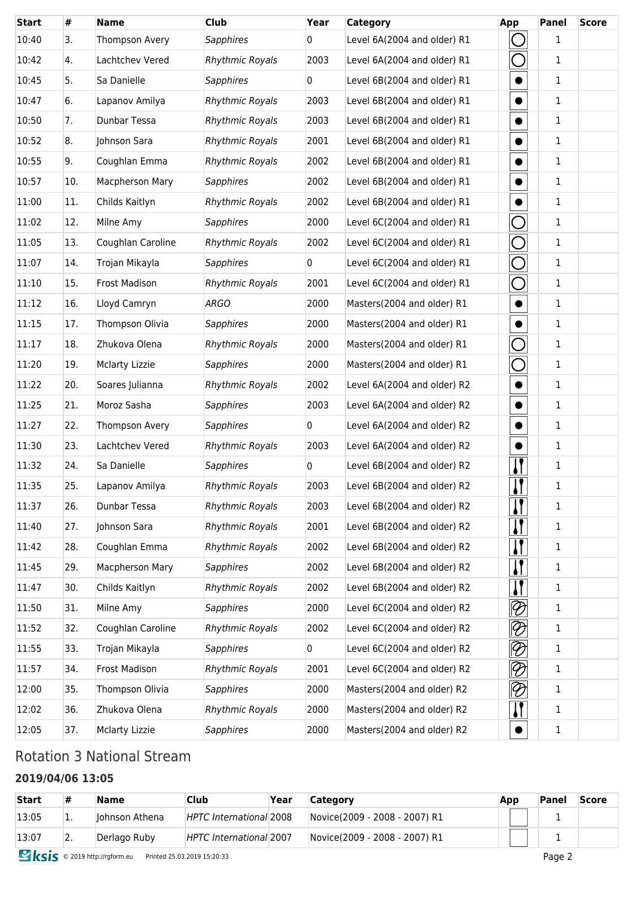| <b>Start</b> | #   | <b>Name</b>            | <b>Club</b>            | Year           | <b>Category</b>             | App          | Panel        | <b>Score</b> |
|--------------|-----|------------------------|------------------------|----------------|-----------------------------|--------------|--------------|--------------|
| 10:40        | 3.  | Thompson Avery         | <b>Sapphires</b>       | 0              | Level 6A(2004 and older) R1 |              | $\mathbf{1}$ |              |
| 10:42        | 4.  | Lachtchev Vered        | <b>Rhythmic Royals</b> | 2003           | Level 6A(2004 and older) R1 |              | $\mathbf{1}$ |              |
| 10:45        | 5.  | Sa Danielle            | <b>Sapphires</b>       | $\overline{0}$ | Level 6B(2004 and older) R1 | $\bullet$    | 1            |              |
| 10:47        | 6.  | Lapanov Amilya         | <b>Rhythmic Royals</b> | 2003           | Level 6B(2004 and older) R1 |              | 1            |              |
| 10:50        | 7.  | Dunbar Tessa           | <b>Rhythmic Royals</b> | 2003           | Level 6B(2004 and older) R1 | $\bullet$    | $\mathbf{1}$ |              |
| 10:52        | 8.  | Johnson Sara           | <b>Rhythmic Royals</b> | 2001           | Level 6B(2004 and older) R1 | $\bullet$    | $\mathbf{1}$ |              |
| 10:55        | 9.  | Coughlan Emma          | <b>Rhythmic Royals</b> | 2002           | Level 6B(2004 and older) R1 |              | $\mathbf{1}$ |              |
| 10:57        | 10. | <b>Macpherson Mary</b> | <b>Sapphires</b>       | 2002           | Level 6B(2004 and older) R1 | $\bullet$    | $\mathbf{1}$ |              |
| 11:00        | 11. | Childs Kaitlyn         | <b>Rhythmic Royals</b> | 2002           | Level 6B(2004 and older) R1 | $\bullet$    | $\mathbf{1}$ |              |
| 11:02        | 12. | Milne Amy              | <b>Sapphires</b>       | 2000           | Level 6C(2004 and older) R1 |              | 1            |              |
| 11:05        | 13. | Coughlan Caroline      | <b>Rhythmic Royals</b> | 2002           | Level 6C(2004 and older) R1 | ⌒            | $\mathbf{1}$ |              |
| 11:07        | 14. | Trojan Mikayla         | <b>Sapphires</b>       | 0              | Level 6C(2004 and older) R1 | $\bigcap$    | $\mathbf{1}$ |              |
| 11:10        | 15. | <b>Frost Madison</b>   | <b>Rhythmic Royals</b> | 2001           | Level 6C(2004 and older) R1 | $\bigcirc$   | $\mathbf{1}$ |              |
| 11:12        | 16. | Lloyd Camryn           | <b>ARGO</b>            | 2000           | Masters(2004 and older) R1  | $\bullet$    | $\mathbf{1}$ |              |
| 11:15        | 17. | Thompson Olivia        | <b>Sapphires</b>       | 2000           | Masters(2004 and older) R1  |              | 1            |              |
| 11:17        | 18. | Zhukova Olena          | <b>Rhythmic Royals</b> | 2000           | Masters(2004 and older) R1  |              | $\mathbf{1}$ |              |
| 11:20        | 19. | <b>Mclarty Lizzie</b>  | <b>Sapphires</b>       | 2000           | Masters(2004 and older) R1  | $\Box$       | $\mathbf{1}$ |              |
| 11:22        | 20. | Soares Julianna        | <b>Rhythmic Royals</b> | 2002           | Level 6A(2004 and older) R2 | $\bullet$    | $\mathbf{1}$ |              |
| 11:25        | 21. | Moroz Sasha            | <b>Sapphires</b>       | 2003           | Level 6A(2004 and older) R2 | $\bullet$    | $\mathbf{1}$ |              |
| 11:27        | 22. | Thompson Avery         | <b>Sapphires</b>       | 0              | Level 6A(2004 and older) R2 | $\bullet$    | $\mathbf{1}$ |              |
| 11:30        | 23. | Lachtchev Vered        | <b>Rhythmic Royals</b> | 2003           | Level 6A(2004 and older) R2 |              | 1            |              |
| 11:32        | 24. | Sa Danielle            | <b>Sapphires</b>       | 0              | Level 6B(2004 and older) R2 | IJ           | $\mathbf{1}$ |              |
| 11:35        | 25. | Lapanov Amilya         | <b>Rhythmic Royals</b> | 2003           | Level 6B(2004 and older) R2 | .            | $\mathbf{1}$ |              |
| 11:37        | 26. | Dunbar Tessa           | <b>Rhythmic Royals</b> | 2003           | Level 6B(2004 and older) R2 | $\mathbf{I}$ | $\mathbf{1}$ |              |
| 11:40        | 27. | Johnson Sara           | <b>Rhythmic Royals</b> | 2001           | Level 6B(2004 and older) R2 | $\mathbf{l}$ | 1            |              |
| 11:42        | 28. | Coughlan Emma          | <b>Rhythmic Royals</b> | 2002           | Level 6B(2004 and older) R2 | $\mathbf{l}$ | 1            |              |
| 11:45        | 29. | Macpherson Mary        | <b>Sapphires</b>       | 2002           | Level 6B(2004 and older) R2 | "            | 1            |              |
| 11:47        | 30. | Childs Kaitlyn         | <b>Rhythmic Royals</b> | 2002           | Level 6B(2004 and older) R2 |              | 1            |              |
| 11:50        | 31. | Milne Amy              | Sapphires              | 2000           | Level 6C(2004 and older) R2 | $\otimes$    | 1            |              |
| 11:52        | 32. | Coughlan Caroline      | <b>Rhythmic Royals</b> | 2002           | Level 6C(2004 and older) R2 | $\otimes$    | 1            |              |
| 11:55        | 33. | Trojan Mikayla         | <b>Sapphires</b>       | $\mathbf 0$    | Level 6C(2004 and older) R2 | $\otimes$    | 1            |              |
| 11:57        | 34. | Frost Madison          | <b>Rhythmic Royals</b> | 2001           | Level 6C(2004 and older) R2 | $\otimes$    | 1            |              |
| 12:00        | 35. | Thompson Olivia        | <b>Sapphires</b>       | 2000           | Masters(2004 and older) R2  | $\otimes$    | 1            |              |
| 12:02        | 36. | Zhukova Olena          | <b>Rhythmic Royals</b> | 2000           | Masters(2004 and older) R2  | $\mathbf{I}$ | $\mathbf{1}$ |              |
| 12:05        | 37. | <b>Mclarty Lizzie</b>  | <b>Sapphires</b>       | 2000           | Masters(2004 and older) R2  |              | $\mathbf 1$  |              |

### Rotation 3 National Stream

### **2019/04/06 13:05**

| <b>Start</b> | #  | <b>Name</b>     | Club                    | Year | Category                      | App | Panel | <b>Score</b> |
|--------------|----|-----------------|-------------------------|------|-------------------------------|-----|-------|--------------|
| 13:05        | ī. | llohnson Athena | HPTC International 2008 |      | Novice(2009 - 2008 - 2007) R1 |     |       |              |
| 13:07        | z. | Derlago Ruby    | HPTC International 2007 |      | Novice(2009 - 2008 - 2007) R1 |     |       |              |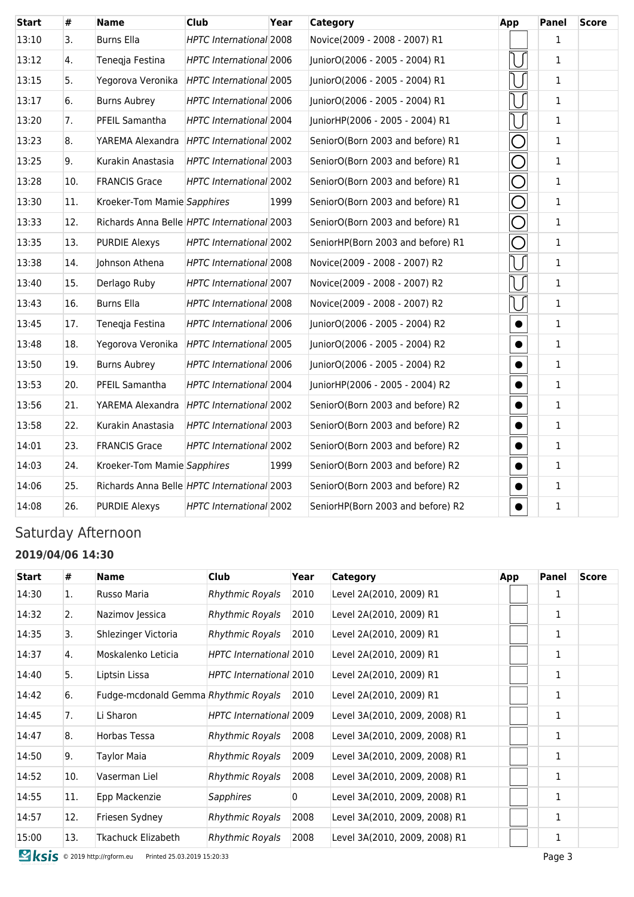| <b>Start</b> | #   | <b>Name</b>                                 | <b>Club</b>                    | Year | Category                          | App       | <b>Panel</b> | <b>Score</b> |
|--------------|-----|---------------------------------------------|--------------------------------|------|-----------------------------------|-----------|--------------|--------------|
| 13:10        | 3.  | <b>Burns Ella</b>                           | HPTC International 2008        |      | Novice(2009 - 2008 - 2007) R1     |           | 1            |              |
| 13:12        | 4.  | Tenegja Festina                             | <b>HPTC International 2006</b> |      | JuniorO(2006 - 2005 - 2004) R1    |           | $\mathbf{1}$ |              |
| 13:15        | 5.  | Yegorova Veronika                           | HPTC International 2005        |      | JuniorO(2006 - 2005 - 2004) R1    |           | 1            |              |
| 13:17        | 6.  | <b>Burns Aubrey</b>                         | <b>HPTC International 2006</b> |      | JuniorO(2006 - 2005 - 2004) R1    |           | 1            |              |
| 13:20        | 7.  | PFEIL Samantha                              | HPTC International 2004        |      | JuniorHP(2006 - 2005 - 2004) R1   |           | $\mathbf{1}$ |              |
| 13:23        | 8.  | YAREMA Alexandra HPTC International 2002    |                                |      | SeniorO(Born 2003 and before) R1  | 0         | $\mathbf{1}$ |              |
| 13:25        | 9.  | Kurakin Anastasia                           | HPTC International 2003        |      | SeniorO(Born 2003 and before) R1  | U         | $\mathbf{1}$ |              |
| 13:28        | 10. | <b>FRANCIS Grace</b>                        | HPTC International 2002        |      | SeniorO(Born 2003 and before) R1  | O         | $\mathbf{1}$ |              |
| 13:30        | 11. | Kroeker-Tom Mamie Sapphires                 |                                | 1999 | SeniorO(Born 2003 and before) R1  | O         | 1            |              |
| 13:33        | 12. | Richards Anna Belle HPTC International 2003 |                                |      | SeniorO(Born 2003 and before) R1  | O         | $\mathbf{1}$ |              |
| 13:35        | 13. | <b>PURDIE Alexys</b>                        | HPTC International 2002        |      | SeniorHP(Born 2003 and before) R1 | $\bigcap$ | $\mathbf{1}$ |              |
| 13:38        | 14. | Johnson Athena                              | HPTC International 2008        |      | Novice(2009 - 2008 - 2007) R2     |           | $\mathbf{1}$ |              |
| 13:40        | 15. | Derlago Ruby                                | HPTC International 2007        |      | Novice(2009 - 2008 - 2007) R2     |           | $\mathbf{1}$ |              |
| 13:43        | 16. | <b>Burns Ella</b>                           | <b>HPTC International 2008</b> |      | Novice(2009 - 2008 - 2007) R2     |           | $\mathbf{1}$ |              |
| 13:45        | 17. | Tenegja Festina                             | <b>HPTC International 2006</b> |      | JuniorO(2006 - 2005 - 2004) R2    | $\bullet$ | 1            |              |
| 13:48        | 18. | Yegorova Veronika HPTC International 2005   |                                |      | JuniorO(2006 - 2005 - 2004) R2    |           | 1            |              |
| 13:50        | 19. | <b>Burns Aubrey</b>                         | HPTC International 2006        |      | JuniorO(2006 - 2005 - 2004) R2    |           | $\mathbf{1}$ |              |
| 13:53        | 20. | PFEIL Samantha                              | <b>HPTC International 2004</b> |      | JuniorHP(2006 - 2005 - 2004) R2   |           | $\mathbf{1}$ |              |
| 13:56        | 21. | YAREMA Alexandra HPTC International 2002    |                                |      | SeniorO(Born 2003 and before) R2  |           | $\mathbf{1}$ |              |
| 13:58        | 22. | Kurakin Anastasia                           | HPTC International 2003        |      | SeniorO(Born 2003 and before) R2  |           | $\mathbf 1$  |              |
| 14:01        | 23. | <b>FRANCIS Grace</b>                        | HPTC International 2002        |      | SeniorO(Born 2003 and before) R2  | $\bullet$ | $\mathbf{1}$ |              |
| 14:03        | 24. | Kroeker-Tom Mamie Sapphires                 |                                | 1999 | SeniorO(Born 2003 and before) R2  |           | 1            |              |
| 14:06        | 25. | Richards Anna Belle HPTC International 2003 |                                |      | SeniorO(Born 2003 and before) R2  |           | $\mathbf{1}$ |              |
| 14:08        | 26. | <b>PURDIE Alexys</b>                        | <b>HPTC International 2002</b> |      | SeniorHP(Born 2003 and before) R2 |           | $\mathbf 1$  |              |

### Saturday Afternoon

#### **2019/04/06 14:30**

| <b>Start</b> | #   | <b>Name</b>                          | <b>Club</b>                    | Year | Category                      | App | Panel | <b>Score</b> |
|--------------|-----|--------------------------------------|--------------------------------|------|-------------------------------|-----|-------|--------------|
| 14:30        | 1.  | Russo Maria                          | <b>Rhythmic Royals</b>         | 2010 | Level 2A(2010, 2009) R1       |     |       |              |
| 14:32        | 2.  | Nazimov Jessica                      | <b>Rhythmic Royals</b>         | 2010 | Level 2A(2010, 2009) R1       |     | 1     |              |
| 14:35        | 3.  | Shlezinger Victoria                  | <b>Rhythmic Royals</b>         | 2010 | Level 2A(2010, 2009) R1       |     | 1     |              |
| 14:37        | 4.  | Moskalenko Leticia                   | HPTC International 2010        |      | Level 2A(2010, 2009) R1       |     |       |              |
| 14:40        | 5.  | Liptsin Lissa                        | HPTC International 2010        |      | Level 2A(2010, 2009) R1       |     | 1     |              |
| 14:42        | 6.  | Fudge-mcdonald Gemma Rhythmic Royals |                                | 2010 | Level 2A(2010, 2009) R1       |     | 1     |              |
| 14:45        | 7.  | Li Sharon                            | <b>HPTC</b> International 2009 |      | Level 3A(2010, 2009, 2008) R1 |     |       |              |
| 14:47        | 8.  | Horbas Tessa                         | <b>Rhythmic Royals</b>         | 2008 | Level 3A(2010, 2009, 2008) R1 |     | 1     |              |
| 14:50        | 9.  | <b>Taylor Maia</b>                   | <b>Rhythmic Royals</b>         | 2009 | Level 3A(2010, 2009, 2008) R1 |     | 1     |              |
| 14:52        | 10. | Vaserman Liel                        | <b>Rhythmic Royals</b>         | 2008 | Level 3A(2010, 2009, 2008) R1 |     | 1     |              |
| 14:55        | 11. | Epp Mackenzie                        | Sapphires                      | 0    | Level 3A(2010, 2009, 2008) R1 |     | 1     |              |
| 14:57        | 12. | Friesen Sydney                       | <b>Rhythmic Royals</b>         | 2008 | Level 3A(2010, 2009, 2008) R1 |     | 1     |              |
| 15:00        | 13. | Tkachuck Elizabeth                   | Rhythmic Royals                | 2008 | Level 3A(2010, 2009, 2008) R1 |     | 1     |              |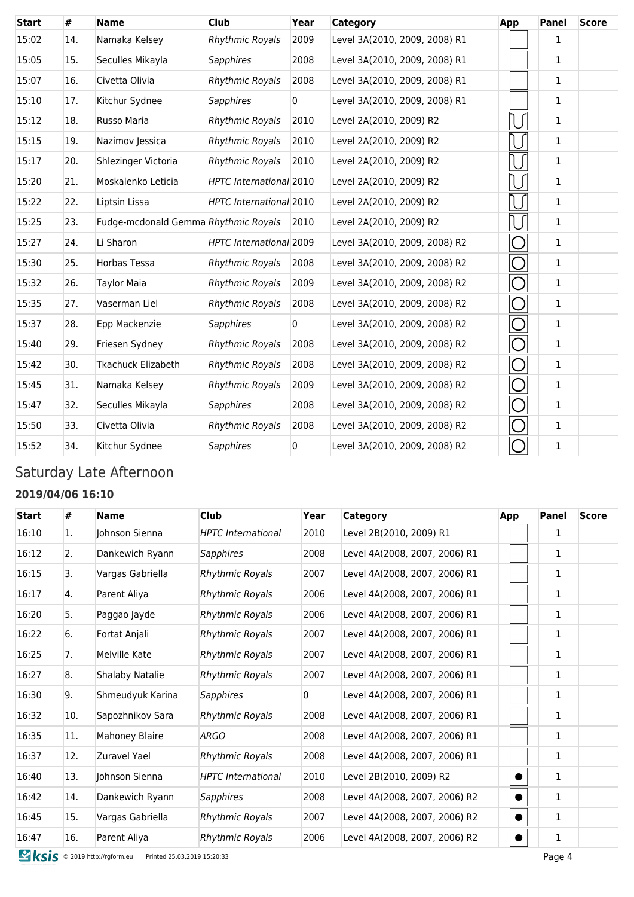| <b>Start</b> | #   | <b>Name</b>                          | <b>Club</b>             | Year | Category                      | App        | <b>Panel</b> | <b>Score</b> |
|--------------|-----|--------------------------------------|-------------------------|------|-------------------------------|------------|--------------|--------------|
| 15:02        | 14. | Namaka Kelsey                        | <b>Rhythmic Royals</b>  | 2009 | Level 3A(2010, 2009, 2008) R1 |            | 1            |              |
| 15:05        | 15. | Seculles Mikayla                     | <b>Sapphires</b>        | 2008 | Level 3A(2010, 2009, 2008) R1 |            | $\mathbf{1}$ |              |
| 15:07        | 16. | Civetta Olivia                       | <b>Rhythmic Royals</b>  | 2008 | Level 3A(2010, 2009, 2008) R1 |            | $\mathbf{1}$ |              |
| 15:10        | 17. | Kitchur Sydnee                       | <b>Sapphires</b>        | 0    | Level 3A(2010, 2009, 2008) R1 |            | $\mathbf{1}$ |              |
| 15:12        | 18. | Russo Maria                          | <b>Rhythmic Royals</b>  | 2010 | Level 2A(2010, 2009) R2       |            | $\mathbf{1}$ |              |
| 15:15        | 19. | Nazimov Jessica                      | <b>Rhythmic Royals</b>  | 2010 | Level 2A(2010, 2009) R2       |            | $\mathbf{1}$ |              |
| 15:17        | 20. | Shlezinger Victoria                  | <b>Rhythmic Royals</b>  | 2010 | Level 2A(2010, 2009) R2       |            | $\mathbf{1}$ |              |
| 15:20        | 21. | Moskalenko Leticia                   | HPTC International 2010 |      | Level 2A(2010, 2009) R2       |            | 1            |              |
| 15:22        | 22. | Liptsin Lissa                        | HPTC International 2010 |      | Level 2A(2010, 2009) R2       |            | $\mathbf{1}$ |              |
| 15:25        | 23. | Fudge-mcdonald Gemma Rhythmic Royals |                         | 2010 | Level 2A(2010, 2009) R2       |            | 1            |              |
| 15:27        | 24. | Li Sharon                            | HPTC International 2009 |      | Level 3A(2010, 2009, 2008) R2 | $\bigcap$  | 1            |              |
| 15:30        | 25. | <b>Horbas Tessa</b>                  | <b>Rhythmic Royals</b>  | 2008 | Level 3A(2010, 2009, 2008) R2 | О          | $\mathbf{1}$ |              |
| 15:32        | 26. | <b>Taylor Maia</b>                   | <b>Rhythmic Royals</b>  | 2009 | Level 3A(2010, 2009, 2008) R2 | O          | $\mathbf{1}$ |              |
| 15:35        | 27. | Vaserman Liel                        | <b>Rhythmic Royals</b>  | 2008 | Level 3A(2010, 2009, 2008) R2 | ⌒          | $\mathbf{1}$ |              |
| 15:37        | 28. | Epp Mackenzie                        | <b>Sapphires</b>        | 0    | Level 3A(2010, 2009, 2008) R2 | $\bigcirc$ | 1            |              |
| 15:40        | 29. | Friesen Sydney                       | <b>Rhythmic Royals</b>  | 2008 | Level 3A(2010, 2009, 2008) R2 | О          | 1            |              |
| 15:42        | 30. | <b>Tkachuck Elizabeth</b>            | <b>Rhythmic Royals</b>  | 2008 | Level 3A(2010, 2009, 2008) R2 | O          | $\mathbf{1}$ |              |
| 15:45        | 31. | Namaka Kelsey                        | <b>Rhythmic Royals</b>  | 2009 | Level 3A(2010, 2009, 2008) R2 | $\bigcirc$ | 1            |              |
| 15:47        | 32. | Seculles Mikayla                     | <b>Sapphires</b>        | 2008 | Level 3A(2010, 2009, 2008) R2 | ⌒          | $\mathbf{1}$ |              |
| 15:50        | 33. | Civetta Olivia                       | <b>Rhythmic Royals</b>  | 2008 | Level 3A(2010, 2009, 2008) R2 | $\bigcap$  | 1            |              |
| 15:52        | 34. | Kitchur Sydnee                       | <b>Sapphires</b>        | 0    | Level 3A(2010, 2009, 2008) R2 | $\cup$     | 1            |              |

### Saturday Late Afternoon

#### **2019/04/06 16:10**

| <b>Start</b> | #   | <b>Name</b>            | <b>Club</b>               | Year           | Category                      | App | <b>Panel</b> | <b>Score</b> |
|--------------|-----|------------------------|---------------------------|----------------|-------------------------------|-----|--------------|--------------|
| 16:10        | 1.  | Johnson Sienna         | <b>HPTC</b> International | 2010           | Level 2B(2010, 2009) R1       |     | 1            |              |
| 16:12        | 2.  | Dankewich Ryann        | Sapphires                 | 2008           | Level 4A(2008, 2007, 2006) R1 |     | $\mathbf{1}$ |              |
| 16:15        | 3.  | Vargas Gabriella       | <b>Rhythmic Royals</b>    | 2007           | Level 4A(2008, 2007, 2006) R1 |     | 1            |              |
| 16:17        | 4.  | Parent Aliya           | <b>Rhythmic Royals</b>    | 2006           | Level 4A(2008, 2007, 2006) R1 |     | 1            |              |
| 16:20        | 5.  | Paggao Jayde           | Rhythmic Royals           | 2006           | Level 4A(2008, 2007, 2006) R1 |     | 1            |              |
| 16:22        | 6.  | Fortat Anjali          | Rhythmic Royals           | 2007           | Level 4A(2008, 2007, 2006) R1 |     | 1            |              |
| 16:25        | 7.  | Melville Kate          | <b>Rhythmic Royals</b>    | 2007           | Level 4A(2008, 2007, 2006) R1 |     | 1            |              |
| 16:27        | 8.  | <b>Shalaby Natalie</b> | Rhythmic Royals           | 2007           | Level 4A(2008, 2007, 2006) R1 |     | $\mathbf{1}$ |              |
| 16:30        | 9.  | Shmeudyuk Karina       | <b>Sapphires</b>          | $\overline{0}$ | Level 4A(2008, 2007, 2006) R1 |     | $\mathbf{1}$ |              |
| 16:32        | 10. | Sapozhnikov Sara       | Rhythmic Royals           | 2008           | Level 4A(2008, 2007, 2006) R1 |     | 1            |              |
| 16:35        | 11. | <b>Mahoney Blaire</b>  | <b>ARGO</b>               | 2008           | Level 4A(2008, 2007, 2006) R1 |     | 1            |              |
| 16:37        | 12. | Zuravel Yael           | <b>Rhythmic Royals</b>    | 2008           | Level 4A(2008, 2007, 2006) R1 |     | 1            |              |
| 16:40        | 13. | Johnson Sienna         | <b>HPTC</b> International | 2010           | Level 2B(2010, 2009) R2       |     | $\mathbf{1}$ |              |
| 16:42        | 14. | Dankewich Ryann        | Sapphires                 | 2008           | Level 4A(2008, 2007, 2006) R2 |     | $\mathbf{1}$ |              |
| 16:45        | 15. | Vargas Gabriella       | Rhythmic Royals           | 2007           | Level 4A(2008, 2007, 2006) R2 |     | 1            |              |
| 16:47        | 16. | Parent Aliya           | <b>Rhythmic Royals</b>    | 2006           | Level 4A(2008, 2007, 2006) R2 |     | 1            |              |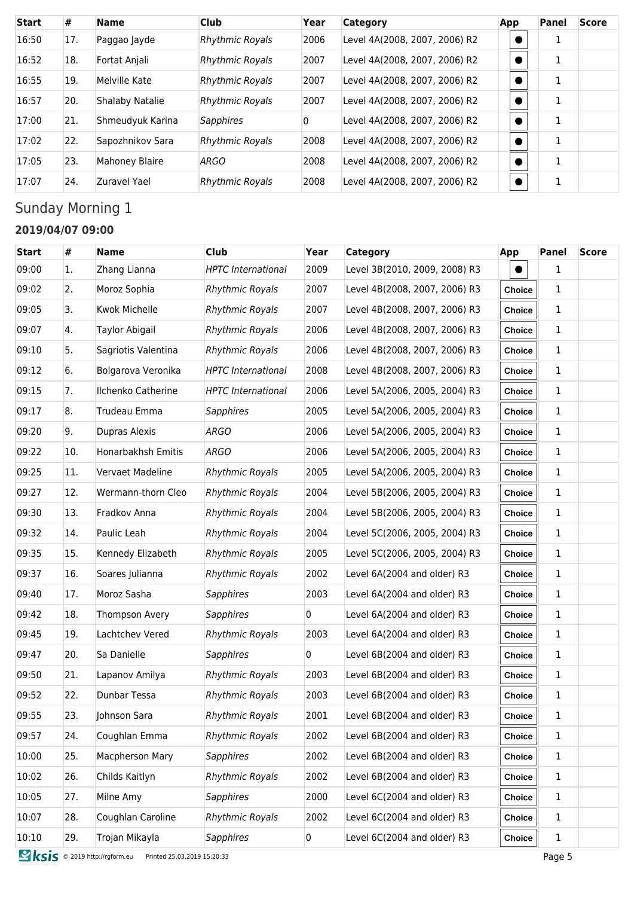| <b>Start</b> | #   | <b>Name</b>            | <b>Club</b>            | Year | <b>Category</b>               | App | Panel | <b>Score</b> |
|--------------|-----|------------------------|------------------------|------|-------------------------------|-----|-------|--------------|
| 16:50        | 17. | Paggao Jayde           | <b>Rhythmic Royals</b> | 2006 | Level 4A(2008, 2007, 2006) R2 |     | 1     |              |
| 16:52        | 18. | Fortat Anjali          | <b>Rhythmic Royals</b> | 2007 | Level 4A(2008, 2007, 2006) R2 |     | 1     |              |
| 16:55        | 19. | Melville Kate          | <b>Rhythmic Royals</b> | 2007 | Level 4A(2008, 2007, 2006) R2 |     | 1     |              |
| 16:57        | 20. | <b>Shalaby Natalie</b> | <b>Rhythmic Royals</b> | 2007 | Level 4A(2008, 2007, 2006) R2 |     | 1     |              |
| 17:00        | 21. | Shmeudyuk Karina       | <b>Sapphires</b>       | 0    | Level 4A(2008, 2007, 2006) R2 |     | 1     |              |
| 17:02        | 22. | Sapozhnikov Sara       | <b>Rhythmic Royals</b> | 2008 | Level 4A(2008, 2007, 2006) R2 |     | 1     |              |
| 17:05        | 23. | Mahoney Blaire         | <b>ARGO</b>            | 2008 | Level 4A(2008, 2007, 2006) R2 |     | 1     |              |
| 17:07        | 24. | Zuravel Yael           | <b>Rhythmic Royals</b> | 2008 | Level 4A(2008, 2007, 2006) R2 |     | 1     |              |

# Sunday Morning 1

#### **2019/04/07 09:00**

| <b>Start</b> | #   | <b>Name</b>           | <b>Club</b>               | Year | Category                      | <b>App</b>    | Panel        | <b>Score</b> |
|--------------|-----|-----------------------|---------------------------|------|-------------------------------|---------------|--------------|--------------|
| 09:00        | 1.  | Zhang Lianna          | <b>HPTC</b> International | 2009 | Level 3B(2010, 2009, 2008) R3 |               | $\mathbf{1}$ |              |
| 09:02        | 2.  | Moroz Sophia          | <b>Rhythmic Royals</b>    | 2007 | Level 4B(2008, 2007, 2006) R3 | Choice        | 1            |              |
| 09:05        | 3.  | <b>Kwok Michelle</b>  | <b>Rhythmic Royals</b>    | 2007 | Level 4B(2008, 2007, 2006) R3 | Choice        | 1            |              |
| 09:07        | 4.  | <b>Taylor Abigail</b> | <b>Rhythmic Royals</b>    | 2006 | Level 4B(2008, 2007, 2006) R3 | Choice        | 1            |              |
| 09:10        | 5.  | Sagriotis Valentina   | <b>Rhythmic Royals</b>    | 2006 | Level 4B(2008, 2007, 2006) R3 | Choice        | 1            |              |
| 09:12        | 6.  | Bolgarova Veronika    | <b>HPTC</b> International | 2008 | Level 4B(2008, 2007, 2006) R3 | Choice        | $\mathbf{1}$ |              |
| 09:15        | 7.  | Ilchenko Catherine    | <b>HPTC</b> International | 2006 | Level 5A(2006, 2005, 2004) R3 | <b>Choice</b> | $\mathbf{1}$ |              |
| 09:17        | 8.  | Trudeau Emma          | <b>Sapphires</b>          | 2005 | Level 5A(2006, 2005, 2004) R3 | Choice        | 1            |              |
| 09:20        | 9.  | Dupras Alexis         | <b>ARGO</b>               | 2006 | Level 5A(2006, 2005, 2004) R3 | Choice        | 1            |              |
| 09:22        | 10. | Honarbakhsh Emitis    | <b>ARGO</b>               | 2006 | Level 5A(2006, 2005, 2004) R3 | Choice        | 1            |              |
| 09:25        | 11. | Vervaet Madeline      | <b>Rhythmic Royals</b>    | 2005 | Level 5A(2006, 2005, 2004) R3 | Choice        | 1            |              |
| 09:27        | 12. | Wermann-thorn Cleo    | <b>Rhythmic Royals</b>    | 2004 | Level 5B(2006, 2005, 2004) R3 | Choice        | $\mathbf{1}$ |              |
| 09:30        | 13. | Fradkov Anna          | <b>Rhythmic Royals</b>    | 2004 | Level 5B(2006, 2005, 2004) R3 | Choice        | $\mathbf{1}$ |              |
| 09:32        | 14. | Paulic Leah           | <b>Rhythmic Royals</b>    | 2004 | Level 5C(2006, 2005, 2004) R3 | Choice        | 1            |              |
| 09:35        | 15. | Kennedy Elizabeth     | <b>Rhythmic Royals</b>    | 2005 | Level 5C(2006, 2005, 2004) R3 | Choice        | 1            |              |
| 09:37        | 16. | Soares Julianna       | <b>Rhythmic Royals</b>    | 2002 | Level 6A(2004 and older) R3   | Choice        | $\mathbf{1}$ |              |
| 09:40        | 17. | Moroz Sasha           | <b>Sapphires</b>          | 2003 | Level 6A(2004 and older) R3   | Choice        | 1            |              |
| 09:42        | 18. | Thompson Avery        | <b>Sapphires</b>          | 0    | Level 6A(2004 and older) R3   | Choice        | $\mathbf{1}$ |              |
| 09:45        | 19. | Lachtchev Vered       | <b>Rhythmic Royals</b>    | 2003 | Level 6A(2004 and older) R3   | Choice        | 1            |              |
| 09:47        | 20. | Sa Danielle           | <b>Sapphires</b>          | 0    | Level 6B(2004 and older) R3   | Choice        | 1            |              |
| 09:50        | 21. | Lapanov Amilya        | <b>Rhythmic Royals</b>    | 2003 | Level 6B(2004 and older) R3   | Choice        | 1            |              |
| 09:52        | 22. | Dunbar Tessa          | <b>Rhythmic Royals</b>    | 2003 | Level 6B(2004 and older) R3   | Choice        | $\mathbf{1}$ |              |
| 09:55        | 23. | Johnson Sara          | <b>Rhythmic Royals</b>    | 2001 | Level 6B(2004 and older) R3   | <b>Choice</b> | 1            |              |
| 09:57        | 24. | Coughlan Emma         | <b>Rhythmic Royals</b>    | 2002 | Level 6B(2004 and older) R3   | Choice        | 1            |              |
| 10:00        | 25. | Macpherson Mary       | <b>Sapphires</b>          | 2002 | Level 6B(2004 and older) R3   | Choice        | 1            |              |
| 10:02        | 26. | Childs Kaitlyn        | <b>Rhythmic Royals</b>    | 2002 | Level 6B(2004 and older) R3   | Choice        | $\mathbf{1}$ |              |
| 10:05        | 27. | Milne Amy             | <b>Sapphires</b>          | 2000 | Level 6C(2004 and older) R3   | Choice        | 1            |              |
| 10:07        | 28. | Coughlan Caroline     | <b>Rhythmic Royals</b>    | 2002 | Level 6C(2004 and older) R3   | Choice        | 1            |              |
| 10:10        | 29. | Trojan Mikayla        | <b>Sapphires</b>          | 0    | Level 6C(2004 and older) R3   | Choice        | 1            |              |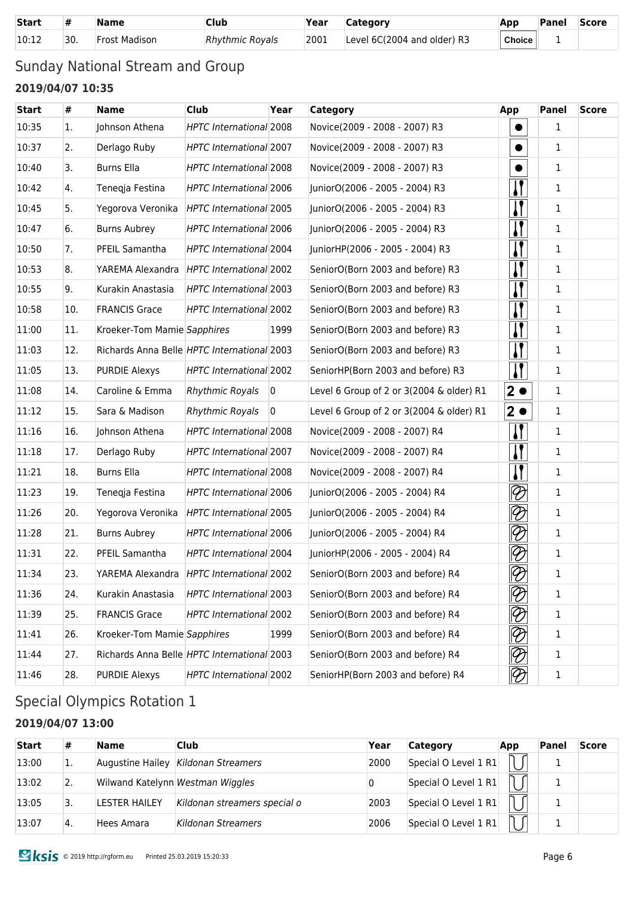| <b>Start</b> |     | <b>Name</b>          | Club                   | Year | <b>Category</b>             | App    | Panel | <b>Score</b> |
|--------------|-----|----------------------|------------------------|------|-----------------------------|--------|-------|--------------|
| 10:12        | 30. | <b>Frost Madison</b> | <b>Rhythmic Rovals</b> | 2001 | Level 6C(2004 and older) R3 | Choice |       |              |

### Sunday National Stream and Group **2019/04/07 10:35**

| <b>Start</b> | #   | <b>Name</b>                                 | <b>Club</b>                    | Year           | Category                                 | App                         | Panel        | <b>Score</b> |
|--------------|-----|---------------------------------------------|--------------------------------|----------------|------------------------------------------|-----------------------------|--------------|--------------|
| 10:35        | 1.  | Johnson Athena                              | HPTC International 2008        |                | Novice(2009 - 2008 - 2007) R3            |                             | $\mathbf{1}$ |              |
| 10:37        | 2.  | Derlago Ruby                                | HPTC International 2007        |                | Novice(2009 - 2008 - 2007) R3            |                             | 1            |              |
| 10:40        | 3.  | <b>Burns Ella</b>                           | <b>HPTC International 2008</b> |                | Novice(2009 - 2008 - 2007) R3            |                             | $\mathbf{1}$ |              |
| 10:42        | 4.  | Teneqja Festina                             | HPTC International 2006        |                | JuniorO(2006 - 2005 - 2004) R3           |                             | 1            |              |
| 10:45        | 5.  | Yegorova Veronika                           | HPTC International 2005        |                | JuniorO(2006 - 2005 - 2004) R3           |                             | 1            |              |
| 10:47        | 6.  | <b>Burns Aubrey</b>                         | HPTC International 2006        |                | JuniorO(2006 - 2005 - 2004) R3           |                             | 1            |              |
| 10:50        | 7.  | PFEIL Samantha                              | HPTC International 2004        |                | JuniorHP(2006 - 2005 - 2004) R3          | $\mathbf{I}$                | 1            |              |
| 10:53        | 8.  | YAREMA Alexandra HPTC International 2002    |                                |                | SeniorO(Born 2003 and before) R3         |                             | 1            |              |
| 10:55        | 9.  | Kurakin Anastasia                           | HPTC International 2003        |                | SeniorO(Born 2003 and before) R3         |                             | 1            |              |
| 10:58        | 10. | <b>FRANCIS Grace</b>                        | HPTC International 2002        |                | SeniorO(Born 2003 and before) R3         | $\mathbf{I}$                | 1            |              |
| 11:00        | 11. | Kroeker-Tom Mamie Sapphires                 |                                | 1999           | SeniorO(Born 2003 and before) R3         |                             | 1            |              |
| 11:03        | 12. | Richards Anna Belle HPTC International 2003 |                                |                | SeniorO(Born 2003 and before) R3         |                             | $\mathbf{1}$ |              |
| 11:05        | 13. | <b>PURDIE Alexys</b>                        | HPTC International 2002        |                | SeniorHP(Born 2003 and before) R3        |                             | 1            |              |
| 11:08        | 14. | Caroline & Emma                             | <b>Rhythmic Royals</b>         | $\overline{0}$ | Level 6 Group of 2 or 3(2004 & older) R1 | $\overline{2}$              | 1            |              |
| 11:12        | 15. | Sara & Madison                              | <b>Rhythmic Royals</b>         | $\overline{0}$ | Level 6 Group of 2 or 3(2004 & older) R1 | $2 \bullet$                 | $\mathbf{1}$ |              |
| 11:16        | 16. | Johnson Athena                              | HPTC International 2008        |                | Novice(2009 - 2008 - 2007) R4            |                             | 1            |              |
| 11:18        | 17. | Derlago Ruby                                | HPTC International 2007        |                | Novice(2009 - 2008 - 2007) R4            | $\mathbf{I}$                | $\mathbf{1}$ |              |
| 11:21        | 18. | <b>Burns Ella</b>                           | HPTC International 2008        |                | Novice(2009 - 2008 - 2007) R4            |                             | 1            |              |
| 11:23        | 19. | Tenegja Festina                             | HPTC International 2006        |                | JuniorO(2006 - 2005 - 2004) R4           | $\otimes$                   | 1            |              |
| 11:26        | 20. | Yegorova Veronika                           | HPTC International 2005        |                | JuniorO(2006 - 2005 - 2004) R4           | $\varnothing$               | 1            |              |
| 11:28        | 21. | <b>Burns Aubrey</b>                         | <b>HPTC International 2006</b> |                | JuniorO(2006 - 2005 - 2004) R4           | $\lvert \mathcal{D} \rvert$ | 1            |              |
| 11:31        | 22. | PFEIL Samantha                              | <b>HPTC International 2004</b> |                | JuniorHP(2006 - 2005 - 2004) R4          | $\oslash$                   | 1            |              |
| 11:34        | 23. | YAREMA Alexandra HPTC International 2002    |                                |                | SeniorO(Born 2003 and before) R4         | $\overline{\mathscr{O}}$    | 1            |              |
| 11:36        | 24. | Kurakin Anastasia                           | HPTC International 2003        |                | SeniorO(Born 2003 and before) R4         | $\lvert \mathcal{D} \rvert$ | 1            |              |
| 11:39        | 25. | <b>FRANCIS Grace</b>                        | HPTC International 2002        |                | SeniorO(Born 2003 and before) R4         | $\lvert \mathcal{D} \rvert$ | 1            |              |
| 11:41        | 26. | Kroeker-Tom Mamie Sapphires                 |                                | 1999           | SeniorO(Born 2003 and before) R4         | $\varnothing$               | 1            |              |
| 11:44        | 27. | Richards Anna Belle HPTC International 2003 |                                |                | SeniorO(Born 2003 and before) R4         | $\oslash$                   | 1            |              |
| 11:46        | 28. | <b>PURDIE Alexys</b>                        | HPTC International 2002        |                | SeniorHP(Born 2003 and before) R4        | $\lvert \mathcal{D} \rvert$ | $\mathbf 1$  |              |

## Special Olympics Rotation 1

#### **2019/04/07 13:00**

| <b>Start</b> | #   | <b>Name</b>      | Club                             | Year | <b>Category</b>      | App | Panel | <b>Score</b> |
|--------------|-----|------------------|----------------------------------|------|----------------------|-----|-------|--------------|
| 13:00        | ı.  | Augustine Hailey | Kildonan Streamers               | 2000 | Special O Level 1 R1 |     |       |              |
| 13:02        | 2.  |                  | Wilwand Katelynn Westman Wiggles |      | Special O Level 1 R1 |     |       |              |
| 13:05        |     | LESTER HAILEY    | Kildonan streamers special o     | 2003 | Special O Level 1 R1 |     |       |              |
| 13:07        | Ϊ4. | Hees Amara       | Kildonan Streamers               | 2006 | Special O Level 1 R1 |     |       |              |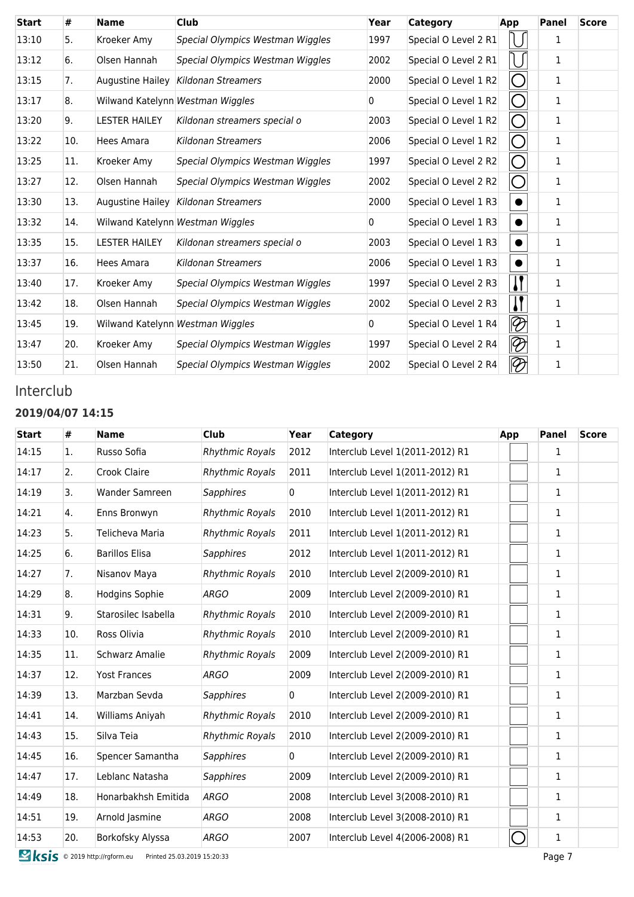| <b>Start</b> | #   | <b>Name</b>             | <b>Club</b>                      | Year | Category             | App          | <b>Panel</b> | <b>Score</b> |
|--------------|-----|-------------------------|----------------------------------|------|----------------------|--------------|--------------|--------------|
| 13:10        | 5.  | Kroeker Amy             | Special Olympics Westman Wiggles | 1997 | Special O Level 2 R1 |              | 1            |              |
| 13:12        | 6.  | Olsen Hannah            | Special Olympics Westman Wiggles | 2002 | Special O Level 2 R1 |              | 1            |              |
| 13:15        | 7.  | <b>Augustine Hailey</b> | Kildonan Streamers               | 2000 | Special O Level 1 R2 | ( )          | 1            |              |
| 13:17        | 8.  |                         | Wilwand Katelynn Westman Wiggles | 0    | Special O Level 1 R2 | ( )          | $\mathbf{1}$ |              |
| 13:20        | 9.  | <b>LESTER HAILEY</b>    | Kildonan streamers special o     | 2003 | Special O Level 1 R2 | ( )          | 1            |              |
| 13:22        | 10. | Hees Amara              | Kildonan Streamers               | 2006 | Special O Level 1 R2 | $\bigcap$    | 1            |              |
| 13:25        | 11. | Kroeker Amy             | Special Olympics Westman Wiggles | 1997 | Special O Level 2 R2 | ◯            | 1            |              |
| 13:27        | 12. | Olsen Hannah            | Special Olympics Westman Wiggles | 2002 | Special O Level 2 R2 | $\bigcap$    | 1            |              |
| 13:30        | 13. | Augustine Hailey        | Kildonan Streamers               | 2000 | Special O Level 1 R3 | $\bullet$    | 1            |              |
| 13:32        | 14. |                         | Wilwand Katelynn Westman Wiggles | 0    | Special O Level 1 R3 | $\bullet$    | 1            |              |
| 13:35        | 15. | <b>LESTER HAILEY</b>    | Kildonan streamers special o     | 2003 | Special O Level 1 R3 | $\bullet$    | 1            |              |
| 13:37        | 16. | Hees Amara              | Kildonan Streamers               | 2006 | Special O Level 1 R3 | $\bullet$    | 1            |              |
| 13:40        | 17. | Kroeker Amy             | Special Olympics Westman Wiggles | 1997 | Special O Level 2 R3 | IJ           | 1            |              |
| 13:42        | 18. | Olsen Hannah            | Special Olympics Westman Wiggles | 2002 | Special O Level 2 R3 | $\mathbf{l}$ | 1            |              |
| 13:45        | 19. |                         | Wilwand Katelynn Westman Wiggles | 0    | Special O Level 1 R4 | $\otimes$    | 1            |              |
| 13:47        | 20. | Kroeker Amy             | Special Olympics Westman Wiggles | 1997 | Special O Level 2 R4 | $\otimes$    | 1            |              |
| 13:50        | 21. | Olsen Hannah            | Special Olympics Westman Wiggles | 2002 | Special O Level 2 R4 | $\otimes$    | $\mathbf{1}$ |              |

### Interclub

#### **2019/04/07 14:15**

| <b>Start</b> | #   | <b>Name</b>           | Club                   | Year           | <b>Category</b>                 | App | <b>Panel</b> | <b>Score</b> |
|--------------|-----|-----------------------|------------------------|----------------|---------------------------------|-----|--------------|--------------|
| 14:15        | 1.  | Russo Sofia           | <b>Rhythmic Royals</b> | 2012           | Interclub Level 1(2011-2012) R1 |     | $\mathbf{1}$ |              |
| 14:17        | 2.  | Crook Claire          | <b>Rhythmic Royals</b> | 2011           | Interclub Level 1(2011-2012) R1 |     | $\mathbf{1}$ |              |
| 14:19        | 3.  | Wander Samreen        | <b>Sapphires</b>       | $\overline{0}$ | Interclub Level 1(2011-2012) R1 |     | $\mathbf{1}$ |              |
| 14:21        | 4.  | Enns Bronwyn          | <b>Rhythmic Royals</b> | 2010           | Interclub Level 1(2011-2012) R1 |     | $\mathbf{1}$ |              |
| 14:23        | 5.  | Telicheva Maria       | <b>Rhythmic Royals</b> | 2011           | Interclub Level 1(2011-2012) R1 |     | $\mathbf{1}$ |              |
| 14:25        | 6.  | <b>Barillos Elisa</b> | <b>Sapphires</b>       | 2012           | Interclub Level 1(2011-2012) R1 |     | $\mathbf{1}$ |              |
| 14:27        | 7.  | Nisanov Maya          | <b>Rhythmic Royals</b> | 2010           | Interclub Level 2(2009-2010) R1 |     | $\mathbf{1}$ |              |
| 14:29        | 8.  | Hodgins Sophie        | <b>ARGO</b>            | 2009           | Interclub Level 2(2009-2010) R1 |     | $\mathbf{1}$ |              |
| 14:31        | 9.  | Starosilec Isabella   | <b>Rhythmic Royals</b> | 2010           | Interclub Level 2(2009-2010) R1 |     | $\mathbf{1}$ |              |
| 14:33        | 10. | Ross Olivia           | <b>Rhythmic Royals</b> | 2010           | Interclub Level 2(2009-2010) R1 |     | $\mathbf{1}$ |              |
| 14:35        | 11. | <b>Schwarz Amalie</b> | <b>Rhythmic Royals</b> | 2009           | Interclub Level 2(2009-2010) R1 |     | $\mathbf{1}$ |              |
| 14:37        | 12. | <b>Yost Frances</b>   | <b>ARGO</b>            | 2009           | Interclub Level 2(2009-2010) R1 |     | $\mathbf{1}$ |              |
| 14:39        | 13. | Marzban Sevda         | Sapphires              | $\overline{0}$ | Interclub Level 2(2009-2010) R1 |     | $\mathbf{1}$ |              |
| 14:41        | 14. | Williams Aniyah       | <b>Rhythmic Royals</b> | 2010           | Interclub Level 2(2009-2010) R1 |     | $\mathbf{1}$ |              |
| 14:43        | 15. | Silva Teia            | <b>Rhythmic Royals</b> | 2010           | Interclub Level 2(2009-2010) R1 |     | $\mathbf{1}$ |              |
| 14:45        | 16. | Spencer Samantha      | <b>Sapphires</b>       | $\overline{0}$ | Interclub Level 2(2009-2010) R1 |     | $\mathbf{1}$ |              |
| 14:47        | 17. | Leblanc Natasha       | <b>Sapphires</b>       | 2009           | Interclub Level 2(2009-2010) R1 |     | $\mathbf{1}$ |              |
| 14:49        | 18. | Honarbakhsh Emitida   | <b>ARGO</b>            | 2008           | Interclub Level 3(2008-2010) R1 |     | $\mathbf{1}$ |              |
| 14:51        | 19. | Arnold Jasmine        | <b>ARGO</b>            | 2008           | Interclub Level 3(2008-2010) R1 |     | $\mathbf{1}$ |              |
| 14:53        | 20. | Borkofsky Alyssa      | <b>ARGO</b>            | 2007           | Interclub Level 4(2006-2008) R1 |     | $\mathbf{1}$ |              |

**Example 2019 http://rgform.eu** Printed 25.03.2019 15:20:33 Page 7